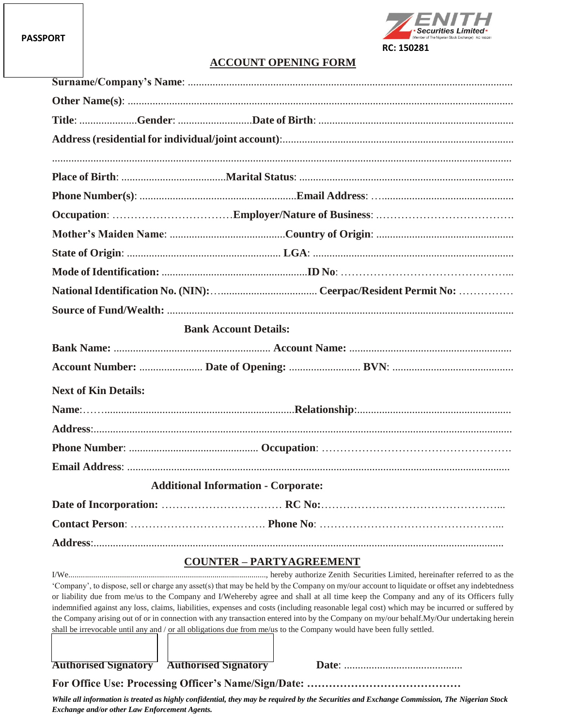

## **ACCOUNT OPENING FORM**

| <b>Bank Account Details:</b>               |  |  |  |  |
|--------------------------------------------|--|--|--|--|
|                                            |  |  |  |  |
|                                            |  |  |  |  |
| <b>Next of Kin Details:</b>                |  |  |  |  |
|                                            |  |  |  |  |
|                                            |  |  |  |  |
|                                            |  |  |  |  |
|                                            |  |  |  |  |
|                                            |  |  |  |  |
| <b>Additional Information - Corporate:</b> |  |  |  |  |
|                                            |  |  |  |  |
|                                            |  |  |  |  |
|                                            |  |  |  |  |

### **COUNTER – PARTYAGREEMENT**

I/We................................................................................................, hereby authorize Zenith Securities Limited, hereinafter referred to as the 'Company', to dispose, sell or charge any asset(s) that may be held by the Company on my/our account to liquidate or offset any indebtedness or liability due from me/us to the Company and I/Wehereby agree and shall at all time keep the Company and any of its Officers fully indemnified against any loss, claims, liabilities, expenses and costs (including reasonable legal cost) which may be incurred or suffered by the Company arising out of or in connection with any transaction entered into by the Company on my/our behalf.My/Our undertaking herein shall be irrevocable until any and / or all obligations due from me/us to the Company would have been fully settled.

**Authorised Signatory Authorised Signatory Date**: ...........................................

**For Office Use: Processing Officer's Name/Sign/Date: ……………………………………**

*While all information is treated as highly confidential, they may be required by the Securities and Exchange Commission, The Nigerian Stock Exchange and/or other Law Enforcement Agents.*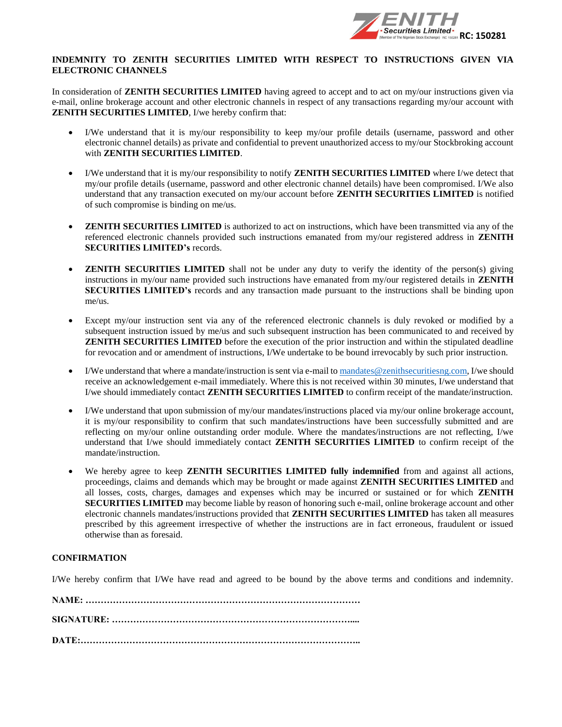

#### **INDEMNITY TO ZENITH SECURITIES LIMITED WITH RESPECT TO INSTRUCTIONS GIVEN VIA ELECTRONIC CHANNELS**

In consideration of **ZENITH SECURITIES LIMITED** having agreed to accept and to act on my/our instructions given via e-mail, online brokerage account and other electronic channels in respect of any transactions regarding my/our account with **ZENITH SECURITIES LIMITED**, I/we hereby confirm that:

- I/We understand that it is my/our responsibility to keep my/our profile details (username, password and other electronic channel details) as private and confidential to prevent unauthorized access to my/our Stockbroking account with **ZENITH SECURITIES LIMITED**.
- I/We understand that it is my/our responsibility to notify **ZENITH SECURITIES LIMITED** where I/we detect that my/our profile details (username, password and other electronic channel details) have been compromised. I/We also understand that any transaction executed on my/our account before **ZENITH SECURITIES LIMITED** is notified of such compromise is binding on me/us.
- **ZENITH SECURITIES LIMITED** is authorized to act on instructions, which have been transmitted via any of the referenced electronic channels provided such instructions emanated from my/our registered address in **ZENITH SECURITIES LIMITED's** records.
- **ZENITH SECURITIES LIMITED** shall not be under any duty to verify the identity of the person(s) giving instructions in my/our name provided such instructions have emanated from my/our registered details in **ZENITH SECURITIES LIMITED's** records and any transaction made pursuant to the instructions shall be binding upon me/us.
- Except my/our instruction sent via any of the referenced electronic channels is duly revoked or modified by a subsequent instruction issued by me/us and such subsequent instruction has been communicated to and received by **ZENITH SECURITIES LIMITED** before the execution of the prior instruction and within the stipulated deadline for revocation and or amendment of instructions, I/We undertake to be bound irrevocably by such prior instruction.
- I/We understand that where a mandate/instruction is sent via e-mail t[o mandates@zenithsecuritiesng.com,](mailto:mandates@zenithsecuritiesng.com) I/we should receive an acknowledgement e-mail immediately. Where this is not received within 30 minutes, I/we understand that I/we should immediately contact **ZENITH SECURITIES LIMITED** to confirm receipt of the mandate/instruction.
- I/We understand that upon submission of my/our mandates/instructions placed via my/our online brokerage account, it is my/our responsibility to confirm that such mandates/instructions have been successfully submitted and are reflecting on my/our online outstanding order module. Where the mandates/instructions are not reflecting, I/we understand that I/we should immediately contact **ZENITH SECURITIES LIMITED** to confirm receipt of the mandate/instruction.
- We hereby agree to keep **ZENITH SECURITIES LIMITED fully indemnified** from and against all actions, proceedings, claims and demands which may be brought or made against **ZENITH SECURITIES LIMITED** and all losses, costs, charges, damages and expenses which may be incurred or sustained or for which **ZENITH SECURITIES LIMITED** may become liable by reason of honoring such e-mail, online brokerage account and other electronic channels mandates/instructions provided that **ZENITH SECURITIES LIMITED** has taken all measures prescribed by this agreement irrespective of whether the instructions are in fact erroneous, fraudulent or issued otherwise than as foresaid.

#### **CONFIRMATION**

I/We hereby confirm that I/We have read and agreed to be bound by the above terms and conditions and indemnity.

**NAME: ……………………………………………………………………………… SIGNATURE: …………………………………………………………………….... DATE:………………………………………………………………………………..**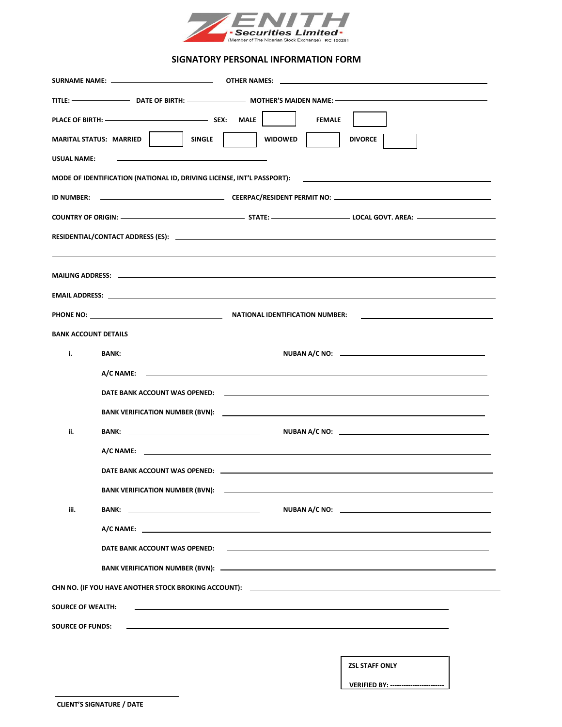

#### **SIGNATORY PERSONAL INFORMATION FORM**

|                                                                                                                                                  | SURNAME NAME: ________________________________                                                                                                                                                                                 |                                                                                                                                                                    |  |  |
|--------------------------------------------------------------------------------------------------------------------------------------------------|--------------------------------------------------------------------------------------------------------------------------------------------------------------------------------------------------------------------------------|--------------------------------------------------------------------------------------------------------------------------------------------------------------------|--|--|
|                                                                                                                                                  |                                                                                                                                                                                                                                |                                                                                                                                                                    |  |  |
|                                                                                                                                                  |                                                                                                                                                                                                                                | <b>FEMALE</b>                                                                                                                                                      |  |  |
|                                                                                                                                                  | <b>SINGLE</b><br>MARITAL STATUS: MARRIED                                                                                                                                                                                       | <b>WIDOWED</b><br><b>DIVORCE</b>                                                                                                                                   |  |  |
| <b>USUAL NAME:</b>                                                                                                                               |                                                                                                                                                                                                                                |                                                                                                                                                                    |  |  |
|                                                                                                                                                  | MODE OF IDENTIFICATION (NATIONAL ID, DRIVING LICENSE, INT'L PASSPORT):                                                                                                                                                         |                                                                                                                                                                    |  |  |
|                                                                                                                                                  |                                                                                                                                                                                                                                |                                                                                                                                                                    |  |  |
|                                                                                                                                                  |                                                                                                                                                                                                                                |                                                                                                                                                                    |  |  |
|                                                                                                                                                  |                                                                                                                                                                                                                                |                                                                                                                                                                    |  |  |
|                                                                                                                                                  |                                                                                                                                                                                                                                |                                                                                                                                                                    |  |  |
|                                                                                                                                                  |                                                                                                                                                                                                                                |                                                                                                                                                                    |  |  |
|                                                                                                                                                  |                                                                                                                                                                                                                                |                                                                                                                                                                    |  |  |
|                                                                                                                                                  |                                                                                                                                                                                                                                | PHONE NO: NATIONAL IDENTIFICATION NUMBER:<br><u> 1989 - Johann Harry Harry Harry Harry Harry Harry Harry Harry Harry Harry Harry Harry Harry Harry Harry Harry</u> |  |  |
| <b>BANK ACCOUNT DETAILS</b>                                                                                                                      |                                                                                                                                                                                                                                |                                                                                                                                                                    |  |  |
| i.                                                                                                                                               |                                                                                                                                                                                                                                |                                                                                                                                                                    |  |  |
|                                                                                                                                                  |                                                                                                                                                                                                                                |                                                                                                                                                                    |  |  |
|                                                                                                                                                  |                                                                                                                                                                                                                                |                                                                                                                                                                    |  |  |
|                                                                                                                                                  |                                                                                                                                                                                                                                |                                                                                                                                                                    |  |  |
| ii.                                                                                                                                              |                                                                                                                                                                                                                                |                                                                                                                                                                    |  |  |
|                                                                                                                                                  |                                                                                                                                                                                                                                |                                                                                                                                                                    |  |  |
|                                                                                                                                                  |                                                                                                                                                                                                                                |                                                                                                                                                                    |  |  |
|                                                                                                                                                  | BANK VERIFICATION NUMBER (BVN): ______________                                                                                                                                                                                 |                                                                                                                                                                    |  |  |
| iii.                                                                                                                                             | BANK: New York State State State State State State State State State State State State State State State State State State State State State State State State State State State State State State State State State State Sta |                                                                                                                                                                    |  |  |
|                                                                                                                                                  |                                                                                                                                                                                                                                | A/C NAME: A PARTICIPATION OF THE STATE OF THE STATE OF THE STATE OF THE STATE OF THE STATE OF THE STATE OF THE                                                     |  |  |
|                                                                                                                                                  |                                                                                                                                                                                                                                |                                                                                                                                                                    |  |  |
|                                                                                                                                                  |                                                                                                                                                                                                                                |                                                                                                                                                                    |  |  |
|                                                                                                                                                  |                                                                                                                                                                                                                                |                                                                                                                                                                    |  |  |
| <b>SOURCE OF WEALTH:</b>                                                                                                                         |                                                                                                                                                                                                                                |                                                                                                                                                                    |  |  |
| <b>SOURCE OF FUNDS:</b><br><u> 1999 - Johann Harry Harry Harry Harry Harry Harry Harry Harry Harry Harry Harry Harry Harry Harry Harry Harry</u> |                                                                                                                                                                                                                                |                                                                                                                                                                    |  |  |
|                                                                                                                                                  |                                                                                                                                                                                                                                |                                                                                                                                                                    |  |  |
|                                                                                                                                                  |                                                                                                                                                                                                                                | <b>ZSL STAFF ONLY</b>                                                                                                                                              |  |  |
|                                                                                                                                                  |                                                                                                                                                                                                                                | <b>VERIFIED BY: -------------------------</b>                                                                                                                      |  |  |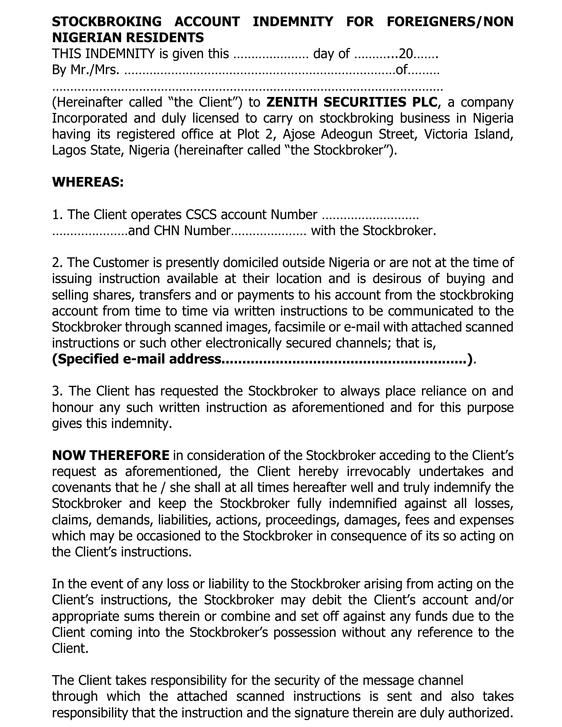# **STOCKBROKING ACCOUNT INDEMNITY FOR FOREIGNERS/NON NIGERIAN RESIDENTS**

THIS INDEMNITY is given this ………………… day of ………...20……. By Mr./Mrs. …………………………………………………………………of………

……………………………………………………………………………………………… (Hereinafter called "the Client") to **ZENITH SECURITIES PLC**, a company Incorporated and duly licensed to carry on stockbroking business in Nigeria having its registered office at Plot 2, Ajose Adeogun Street, Victoria Island, Lagos State, Nigeria (hereinafter called "the Stockbroker").

# **WHEREAS:**

1. The Client operates CSCS account Number ……………………… …………………and CHN Number………………… with the Stockbroker.

2. The Customer is presently domiciled outside Nigeria or are not at the time of issuing instruction available at their location and is desirous of buying and selling shares, transfers and or payments to his account from the stockbroking account from time to time via written instructions to be communicated to the Stockbroker through scanned images, facsimile or e-mail with attached scanned instructions or such other electronically secured channels; that is,

**(Specified e-mail address...........................................................)**.

3. The Client has requested the Stockbroker to always place reliance on and honour any such written instruction as aforementioned and for this purpose gives this indemnity.

**NOW THEREFORE** in consideration of the Stockbroker acceding to the Client's request as aforementioned, the Client hereby irrevocably undertakes and covenants that he / she shall at all times hereafter well and truly indemnify the Stockbroker and keep the Stockbroker fully indemnified against all losses, claims, demands, liabilities, actions, proceedings, damages, fees and expenses which may be occasioned to the Stockbroker in consequence of its so acting on the Client's instructions.

In the event of any loss or liability to the Stockbroker arising from acting on the Client's instructions, the Stockbroker may debit the Client's account and/or appropriate sums therein or combine and set off against any funds due to the Client coming into the Stockbroker's possession without any reference to the Client.

The Client takes responsibility for the security of the message channel through which the attached scanned instructions is sent and also takes responsibility that the instruction and the signature therein are duly authorized.